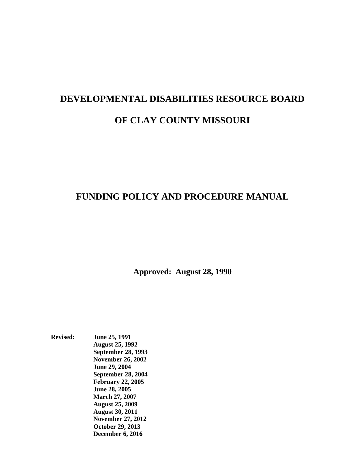# **DEVELOPMENTAL DISABILITIES RESOURCE BOARD OF CLAY COUNTY MISSOURI**

# **FUNDING POLICY AND PROCEDURE MANUAL**

**Approved: August 28, 1990**

**Revised: June 25, 1991 August 25, 1992 September 28, 1993 November 26, 2002 June 29, 2004 September 28, 2004 February 22, 2005 June 28, 2005 March 27, 2007 August 25, 2009 August 30, 2011 November 27, 2012 October 29, 2013 December 6, 2016**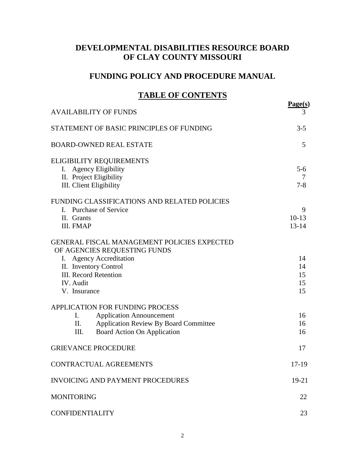# **DEVELOPMENTAL DISABILITIES RESOURCE BOARD OF CLAY COUNTY MISSOURI**

# **FUNDING POLICY AND PROCEDURE MANUAL**

# **TABLE OF CONTENTS**

| <b>AVAILABILITY OF FUNDS</b>                       | Page(s)<br>3 |
|----------------------------------------------------|--------------|
|                                                    |              |
| STATEMENT OF BASIC PRINCIPLES OF FUNDING           | $3 - 5$      |
| <b>BOARD-OWNED REAL ESTATE</b>                     | 5            |
| <b>ELIGIBILITY REQUIREMENTS</b>                    |              |
| <b>Agency Eligibility</b><br>Ι.                    | $5-6$        |
| II. Project Eligibility                            | 7            |
| III. Client Eligibility                            | $7 - 8$      |
| FUNDING CLASSIFICATIONS AND RELATED POLICIES       |              |
| I. Purchase of Service                             | 9            |
| II. Grants                                         | $10-13$      |
| III. FMAP                                          | $13 - 14$    |
| <b>GENERAL FISCAL MANAGEMENT POLICIES EXPECTED</b> |              |
| OF AGENCIES REQUESTING FUNDS                       |              |
| I. Agency Accreditation                            | 14           |
| II. Inventory Control                              | 14           |
| <b>III. Record Retention</b>                       | 15           |
| IV. Audit                                          | 15           |
| V. Insurance                                       | 15           |
| APPLICATION FOR FUNDING PROCESS                    |              |
| <b>Application Announcement</b><br>$\mathbf{L}$    | 16           |
| Application Review By Board Committee<br>П.        | 16           |
| <b>Board Action On Application</b><br>III.         | 16           |
| <b>GRIEVANCE PROCEDURE</b>                         | 17           |
| CONTRACTUAL AGREEMENTS                             | 17-19        |
| <b>INVOICING AND PAYMENT PROCEDURES</b>            | $19-21$      |
| <b>MONITORING</b>                                  | 22           |
| <b>CONFIDENTIALITY</b>                             | 23           |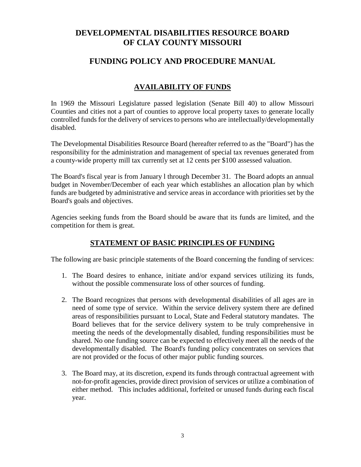# **DEVELOPMENTAL DISABILITIES RESOURCE BOARD OF CLAY COUNTY MISSOURI**

# **FUNDING POLICY AND PROCEDURE MANUAL**

# **AVAILABILITY OF FUNDS**

In 1969 the Missouri Legislature passed legislation (Senate Bill 40) to allow Missouri Counties and cities not a part of counties to approve local property taxes to generate locally controlled funds for the delivery of services to persons who are intellectually/developmentally disabled.

The Developmental Disabilities Resource Board (hereafter referred to as the "Board") has the responsibility for the administration and management of special tax revenues generated from a county-wide property mill tax currently set at 12 cents per \$100 assessed valuation.

The Board's fiscal year is from January l through December 31. The Board adopts an annual budget in November/December of each year which establishes an allocation plan by which funds are budgeted by administrative and service areas in accordance with priorities set by the Board's goals and objectives.

Agencies seeking funds from the Board should be aware that its funds are limited, and the competition for them is great.

## **STATEMENT OF BASIC PRINCIPLES OF FUNDING**

The following are basic principle statements of the Board concerning the funding of services:

- 1. The Board desires to enhance, initiate and/or expand services utilizing its funds, without the possible commensurate loss of other sources of funding.
- 2. The Board recognizes that persons with developmental disabilities of all ages are in need of some type of service. Within the service delivery system there are defined areas of responsibilities pursuant to Local, State and Federal statutory mandates. The Board believes that for the service delivery system to be truly comprehensive in meeting the needs of the developmentally disabled, funding responsibilities must be shared. No one funding source can be expected to effectively meet all the needs of the developmentally disabled. The Board's funding policy concentrates on services that are not provided or the focus of other major public funding sources.
- 3. The Board may, at its discretion, expend its funds through contractual agreement with not-for-profit agencies, provide direct provision of services or utilize a combination of either method. This includes additional, forfeited or unused funds during each fiscal year.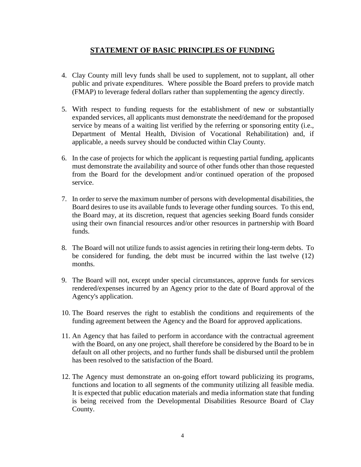## **STATEMENT OF BASIC PRINCIPLES OF FUNDING**

- 4. Clay County mill levy funds shall be used to supplement, not to supplant, all other public and private expenditures. Where possible the Board prefers to provide match (FMAP) to leverage federal dollars rather than supplementing the agency directly.
- 5. With respect to funding requests for the establishment of new or substantially expanded services, all applicants must demonstrate the need/demand for the proposed service by means of a waiting list verified by the referring or sponsoring entity (i.e., Department of Mental Health, Division of Vocational Rehabilitation) and, if applicable, a needs survey should be conducted within Clay County.
- 6. In the case of projects for which the applicant is requesting partial funding, applicants must demonstrate the availability and source of other funds other than those requested from the Board for the development and/or continued operation of the proposed service.
- 7. In order to serve the maximum number of persons with developmental disabilities, the Board desires to use its available funds to leverage other funding sources. To this end, the Board may, at its discretion, request that agencies seeking Board funds consider using their own financial resources and/or other resources in partnership with Board funds.
- 8. The Board will not utilize funds to assist agencies in retiring their long-term debts. To be considered for funding, the debt must be incurred within the last twelve (12) months.
- 9. The Board will not, except under special circumstances, approve funds for services rendered/expenses incurred by an Agency prior to the date of Board approval of the Agency's application.
- 10. The Board reserves the right to establish the conditions and requirements of the funding agreement between the Agency and the Board for approved applications.
- 11. An Agency that has failed to perform in accordance with the contractual agreement with the Board, on any one project, shall therefore be considered by the Board to be in default on all other projects, and no further funds shall be disbursed until the problem has been resolved to the satisfaction of the Board.
- 12. The Agency must demonstrate an on-going effort toward publicizing its programs, functions and location to all segments of the community utilizing all feasible media. It is expected that public education materials and media information state that funding is being received from the Developmental Disabilities Resource Board of Clay County.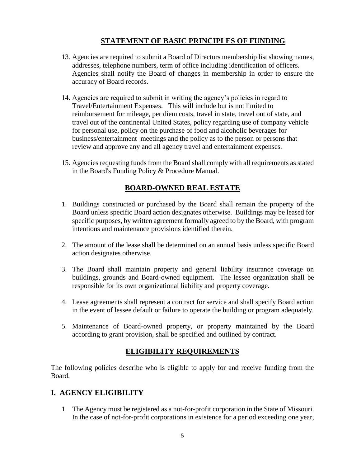# **STATEMENT OF BASIC PRINCIPLES OF FUNDING**

- 13. Agencies are required to submit a Board of Directors membership list showing names, addresses, telephone numbers, term of office including identification of officers. Agencies shall notify the Board of changes in membership in order to ensure the accuracy of Board records.
- 14. Agencies are required to submit in writing the agency's policies in regard to Travel/Entertainment Expenses. This will include but is not limited to reimbursement for mileage, per diem costs, travel in state, travel out of state, and travel out of the continental United States, policy regarding use of company vehicle for personal use, policy on the purchase of food and alcoholic beverages for business/entertainment meetings and the policy as to the person or persons that review and approve any and all agency travel and entertainment expenses.
- 15. Agencies requesting funds from the Board shall comply with all requirements as stated in the Board's Funding Policy & Procedure Manual.

## **BOARD-OWNED REAL ESTATE**

- 1. Buildings constructed or purchased by the Board shall remain the property of the Board unless specific Board action designates otherwise. Buildings may be leased for specific purposes, by written agreement formally agreed to by the Board, with program intentions and maintenance provisions identified therein.
- 2. The amount of the lease shall be determined on an annual basis unless specific Board action designates otherwise.
- 3. The Board shall maintain property and general liability insurance coverage on buildings, grounds and Board-owned equipment. The lessee organization shall be responsible for its own organizational liability and property coverage.
- 4. Lease agreements shall represent a contract for service and shall specify Board action in the event of lessee default or failure to operate the building or program adequately.
- 5. Maintenance of Board-owned property, or property maintained by the Board according to grant provision, shall be specified and outlined by contract.

# **ELIGIBILITY REQUIREMENTS**

The following policies describe who is eligible to apply for and receive funding from the Board.

# **I. AGENCY ELIGIBILITY**

1. The Agency must be registered as a not-for-profit corporation in the State of Missouri. In the case of not-for-profit corporations in existence for a period exceeding one year,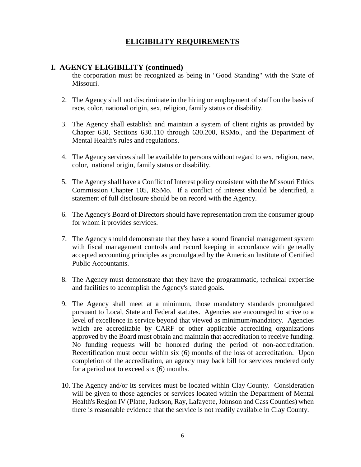# **ELIGIBILITY REQUIREMENTS**

## **I. AGENCY ELIGIBILITY (continued)**

the corporation must be recognized as being in "Good Standing" with the State of Missouri.

- 2. The Agency shall not discriminate in the hiring or employment of staff on the basis of race, color, national origin, sex, religion, family status or disability.
- 3. The Agency shall establish and maintain a system of client rights as provided by Chapter 630, Sections 630.110 through 630.200, RSMo., and the Department of Mental Health's rules and regulations.
- 4. The Agency services shall be available to persons without regard to sex, religion, race, color, national origin, family status or disability.
- 5. The Agency shall have a Conflict of Interest policy consistent with the Missouri Ethics Commission Chapter 105, RSMo. If a conflict of interest should be identified, a statement of full disclosure should be on record with the Agency.
- 6. The Agency's Board of Directors should have representation from the consumer group for whom it provides services.
- 7. The Agency should demonstrate that they have a sound financial management system with fiscal management controls and record keeping in accordance with generally accepted accounting principles as promulgated by the American Institute of Certified Public Accountants.
- 8. The Agency must demonstrate that they have the programmatic, technical expertise and facilities to accomplish the Agency's stated goals.
- 9. The Agency shall meet at a minimum, those mandatory standards promulgated pursuant to Local, State and Federal statutes. Agencies are encouraged to strive to a level of excellence in service beyond that viewed as minimum/mandatory. Agencies which are accreditable by CARF or other applicable accrediting organizations approved by the Board must obtain and maintain that accreditation to receive funding. No funding requests will be honored during the period of non-accreditation. Recertification must occur within six (6) months of the loss of accreditation. Upon completion of the accreditation, an agency may back bill for services rendered only for a period not to exceed six (6) months.
- 10. The Agency and/or its services must be located within Clay County. Consideration will be given to those agencies or services located within the Department of Mental Health's Region IV (Platte, Jackson, Ray, Lafayette, Johnson and Cass Counties) when there is reasonable evidence that the service is not readily available in Clay County.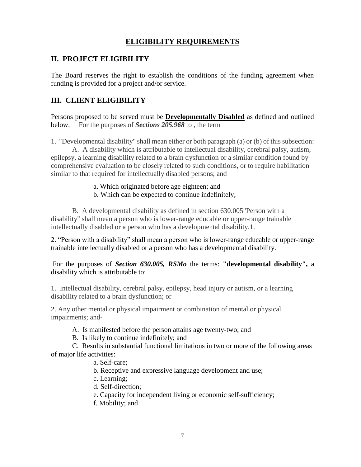# **ELIGIBILITY REQUIREMENTS**

# **II. PROJECT ELIGIBILITY**

The Board reserves the right to establish the conditions of the funding agreement when funding is provided for a project and/or service.

# **III. CLIENT ELIGIBILITY**

Persons proposed to be served must be **Developmentally Disabled** as defined and outlined below. For the purposes of *Sections 205.968* to , the term

1. "Developmental disability" shall mean either or both paragraph (a) or (b) of this subsection:

A. A disability which is attributable to intellectual disability, cerebral palsy, autism, epilepsy, a learning disability related to a brain dysfunction or a similar condition found by comprehensive evaluation to be closely related to such conditions, or to require habilitation similar to that required for intellectually disabled persons; and

- a. Which originated before age eighteen; and
- b. Which can be expected to continue indefinitely;

B. A developmental disability as defined in section 630.005"Person with a disability" shall mean a person who is lower-range educable or upper-range trainable intellectually disabled or a person who has a developmental disability.1.

2. "Person with a disability" shall mean a person who is lower-range educable or upper-range trainable intellectually disabled or a person who has a developmental disability.

For the purposes of *Section 630.005, RSMo* the terms: **"developmental disability",** a disability which is attributable to:

1. Intellectual disability, cerebral palsy, epilepsy, head injury or autism, or a learning disability related to a brain dysfunction; or

2. Any other mental or physical impairment or combination of mental or physical impairments; and-

- A. Is manifested before the person attains age twenty-two; and
- B. Is likely to continue indefinitely; and

C. Results in substantial functional limitations in two or more of the following areas of major life activities:

- a. Self-care;
- b. Receptive and expressive language development and use;
- c. Learning;
- d. Self-direction;
- e. Capacity for independent living or economic self-sufficiency;
- f. Mobility; and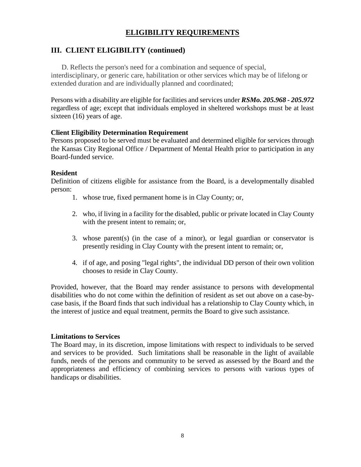# **ELIGIBILITY REQUIREMENTS**

# **III. CLIENT ELIGIBILITY (continued)**

D. Reflects the person's need for a combination and sequence of special,

interdisciplinary, or generic care, habilitation or other services which may be of lifelong or extended duration and are individually planned and coordinated;

Persons with a disability are eligible for facilities and services under *RSMo. 205.968 - 205.972* regardless of age; except that individuals employed in sheltered workshops must be at least sixteen (16) years of age.

## **Client Eligibility Determination Requirement**

Persons proposed to be served must be evaluated and determined eligible for services through the Kansas City Regional Office / Department of Mental Health prior to participation in any Board-funded service.

## **Resident**

Definition of citizens eligible for assistance from the Board, is a developmentally disabled person:

- 1. whose true, fixed permanent home is in Clay County; or,
- 2. who, if living in a facility for the disabled, public or private located in Clay County with the present intent to remain; or,
- 3. whose parent(s) (in the case of a minor), or legal guardian or conservator is presently residing in Clay County with the present intent to remain; or,
- 4. if of age, and posing "legal rights", the individual DD person of their own volition chooses to reside in Clay County.

Provided, however, that the Board may render assistance to persons with developmental disabilities who do not come within the definition of resident as set out above on a case-bycase basis, if the Board finds that such individual has a relationship to Clay County which, in the interest of justice and equal treatment, permits the Board to give such assistance.

## **Limitations to Services**

The Board may, in its discretion, impose limitations with respect to individuals to be served and services to be provided. Such limitations shall be reasonable in the light of available funds, needs of the persons and community to be served as assessed by the Board and the appropriateness and efficiency of combining services to persons with various types of handicaps or disabilities.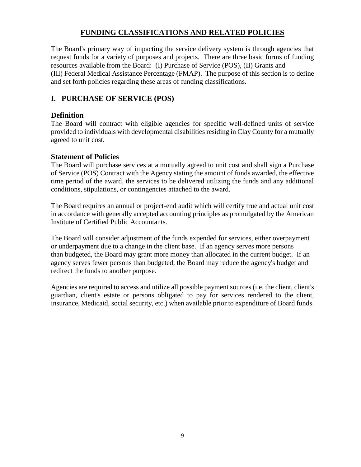The Board's primary way of impacting the service delivery system is through agencies that request funds for a variety of purposes and projects. There are three basic forms of funding resources available from the Board: (I) Purchase of Service (POS), (II) Grants and (III) Federal Medical Assistance Percentage (FMAP). The purpose of this section is to define and set forth policies regarding these areas of funding classifications.

# **I. PURCHASE OF SERVICE (POS)**

## **Definition**

The Board will contract with eligible agencies for specific well-defined units of service provided to individuals with developmental disabilities residing in Clay County for a mutually agreed to unit cost.

#### **Statement of Policies**

The Board will purchase services at a mutually agreed to unit cost and shall sign a Purchase of Service (POS) Contract with the Agency stating the amount of funds awarded, the effective time period of the award, the services to be delivered utilizing the funds and any additional conditions, stipulations, or contingencies attached to the award.

The Board requires an annual or project-end audit which will certify true and actual unit cost in accordance with generally accepted accounting principles as promulgated by the American Institute of Certified Public Accountants.

The Board will consider adjustment of the funds expended for services, either overpayment or underpayment due to a change in the client base. If an agency serves more persons than budgeted, the Board may grant more money than allocated in the current budget. If an agency serves fewer persons than budgeted, the Board may reduce the agency's budget and redirect the funds to another purpose.

Agencies are required to access and utilize all possible payment sources (i.e. the client, client's guardian, client's estate or persons obligated to pay for services rendered to the client, insurance, Medicaid, social security, etc.) when available prior to expenditure of Board funds.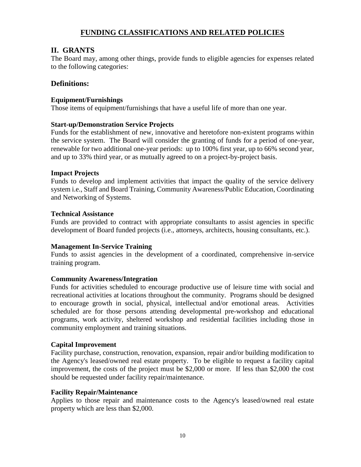## **II. GRANTS**

The Board may, among other things, provide funds to eligible agencies for expenses related to the following categories:

## **Definitions:**

#### **Equipment/Furnishings**

Those items of equipment/furnishings that have a useful life of more than one year.

#### **Start-up/Demonstration Service Projects**

Funds for the establishment of new, innovative and heretofore non-existent programs within the service system. The Board will consider the granting of funds for a period of one-year, renewable for two additional one-year periods: up to 100% first year, up to 66% second year, and up to 33% third year, or as mutually agreed to on a project-by-project basis.

#### **Impact Projects**

Funds to develop and implement activities that impact the quality of the service delivery system i.e., Staff and Board Training, Community Awareness/Public Education, Coordinating and Networking of Systems.

#### **Technical Assistance**

Funds are provided to contract with appropriate consultants to assist agencies in specific development of Board funded projects (i.e., attorneys, architects, housing consultants, etc.).

## **Management In-Service Training**

Funds to assist agencies in the development of a coordinated, comprehensive in-service training program.

## **Community Awareness/Integration**

Funds for activities scheduled to encourage productive use of leisure time with social and recreational activities at locations throughout the community. Programs should be designed to encourage growth in social, physical, intellectual and/or emotional areas. Activities scheduled are for those persons attending developmental pre-workshop and educational programs, work activity, sheltered workshop and residential facilities including those in community employment and training situations.

#### **Capital Improvement**

Facility purchase, construction, renovation, expansion, repair and/or building modification to the Agency's leased/owned real estate property. To be eligible to request a facility capital improvement, the costs of the project must be \$2,000 or more. If less than \$2,000 the cost should be requested under facility repair/maintenance.

#### **Facility Repair/Maintenance**

Applies to those repair and maintenance costs to the Agency's leased/owned real estate property which are less than \$2,000.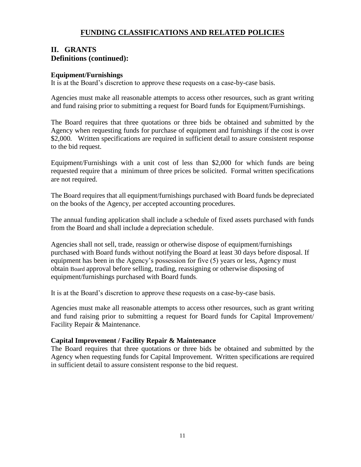## **II. GRANTS Definitions (continued):**

#### **Equipment/Furnishings**

It is at the Board's discretion to approve these requests on a case-by-case basis.

Agencies must make all reasonable attempts to access other resources, such as grant writing and fund raising prior to submitting a request for Board funds for Equipment/Furnishings.

The Board requires that three quotations or three bids be obtained and submitted by the Agency when requesting funds for purchase of equipment and furnishings if the cost is over \$2,000. Written specifications are required in sufficient detail to assure consistent response to the bid request.

Equipment/Furnishings with a unit cost of less than \$2,000 for which funds are being requested require that a minimum of three prices be solicited. Formal written specifications are not required.

The Board requires that all equipment/furnishings purchased with Board funds be depreciated on the books of the Agency, per accepted accounting procedures.

The annual funding application shall include a schedule of fixed assets purchased with funds from the Board and shall include a depreciation schedule.

Agencies shall not sell, trade, reassign or otherwise dispose of equipment/furnishings purchased with Board funds without notifying the Board at least 30 days before disposal. If equipment has been in the Agency's possession for five (5) years or less, Agency must obtain Board approval before selling, trading, reassigning or otherwise disposing of equipment/furnishings purchased with Board funds.

It is at the Board's discretion to approve these requests on a case-by-case basis.

Agencies must make all reasonable attempts to access other resources, such as grant writing and fund raising prior to submitting a request for Board funds for Capital Improvement/ Facility Repair & Maintenance.

#### **Capital Improvement / Facility Repair & Maintenance**

The Board requires that three quotations or three bids be obtained and submitted by the Agency when requesting funds for Capital Improvement. Written specifications are required in sufficient detail to assure consistent response to the bid request.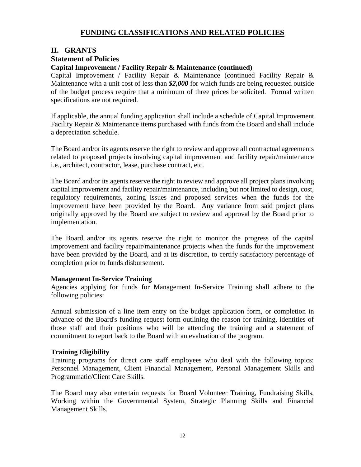### **II. GRANTS**

## **Statement of Policies**

#### **Capital Improvement / Facility Repair & Maintenance (continued)**

Capital Improvement / Facility Repair & Maintenance (continued Facility Repair & Maintenance with a unit cost of less than *\$2,000* for which funds are being requested outside of the budget process require that a minimum of three prices be solicited. Formal written specifications are not required.

If applicable, the annual funding application shall include a schedule of Capital Improvement Facility Repair & Maintenance items purchased with funds from the Board and shall include a depreciation schedule.

The Board and/or its agents reserve the right to review and approve all contractual agreements related to proposed projects involving capital improvement and facility repair/maintenance i.e., architect, contractor, lease, purchase contract, etc.

The Board and/or its agents reserve the right to review and approve all project plans involving capital improvement and facility repair/maintenance, including but not limited to design, cost, regulatory requirements, zoning issues and proposed services when the funds for the improvement have been provided by the Board. Any variance from said project plans originally approved by the Board are subject to review and approval by the Board prior to implementation.

The Board and/or its agents reserve the right to monitor the progress of the capital improvement and facility repair/maintenance projects when the funds for the improvement have been provided by the Board, and at its discretion, to certify satisfactory percentage of completion prior to funds disbursement.

#### **Management In-Service Training**

Agencies applying for funds for Management In-Service Training shall adhere to the following policies:

Annual submission of a line item entry on the budget application form, or completion in advance of the Board's funding request form outlining the reason for training, identities of those staff and their positions who will be attending the training and a statement of commitment to report back to the Board with an evaluation of the program.

#### **Training Eligibility**

Training programs for direct care staff employees who deal with the following topics: Personnel Management, Client Financial Management, Personal Management Skills and Programmatic/Client Care Skills.

The Board may also entertain requests for Board Volunteer Training, Fundraising Skills, Working within the Governmental System, Strategic Planning Skills and Financial Management Skills.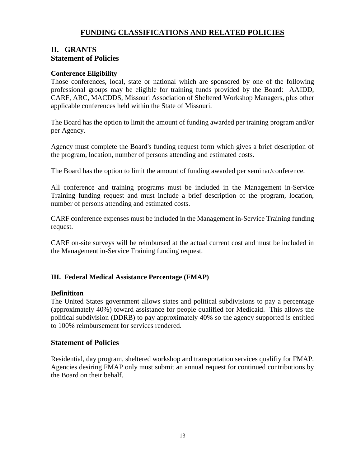# **II. GRANTS Statement of Policies**

#### **Conference Eligibility**

Those conferences, local, state or national which are sponsored by one of the following professional groups may be eligible for training funds provided by the Board: AAIDD, CARF, ARC, MACDDS, Missouri Association of Sheltered Workshop Managers, plus other applicable conferences held within the State of Missouri.

The Board has the option to limit the amount of funding awarded per training program and/or per Agency.

Agency must complete the Board's funding request form which gives a brief description of the program, location, number of persons attending and estimated costs.

The Board has the option to limit the amount of funding awarded per seminar/conference.

All conference and training programs must be included in the Management in-Service Training funding request and must include a brief description of the program, location, number of persons attending and estimated costs.

CARF conference expenses must be included in the Management in-Service Training funding request.

CARF on-site surveys will be reimbursed at the actual current cost and must be included in the Management in-Service Training funding request.

#### **III. Federal Medical Assistance Percentage (FMAP)**

#### **Definititon**

The United States government allows states and political subdivisions to pay a percentage (approximately 40%) toward assistance for people qualified for Medicaid. This allows the political subdivision (DDRB) to pay approximately 40% so the agency supported is entitled to 100% reimbursement for services rendered.

#### **Statement of Policies**

Residential, day program, sheltered workshop and transportation services qualifiy for FMAP. Agencies desiring FMAP only must submit an annual request for continued contributions by the Board on their behalf.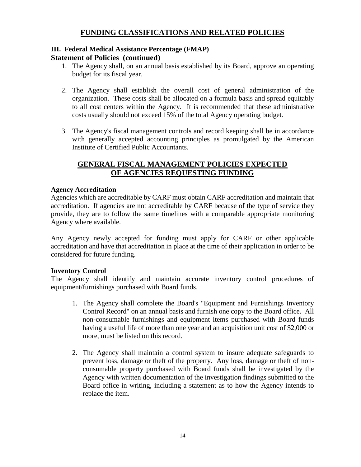## **III. Federal Medical Assistance Percentage (FMAP)**

#### **Statement of Policies (continued)**

- 1. The Agency shall, on an annual basis established by its Board, approve an operating budget for its fiscal year.
- 2. The Agency shall establish the overall cost of general administration of the organization. These costs shall be allocated on a formula basis and spread equitably to all cost centers within the Agency. It is recommended that these administrative costs usually should not exceed 15% of the total Agency operating budget.
- 3. The Agency's fiscal management controls and record keeping shall be in accordance with generally accepted accounting principles as promulgated by the American Institute of Certified Public Accountants.

# **GENERAL FISCAL MANAGEMENT POLICIES EXPECTED OF AGENCIES REQUESTING FUNDING**

#### **Agency Accreditation**

Agencies which are accreditable by CARF must obtain CARF accreditation and maintain that accreditation. If agencies are not accreditable by CARF because of the type of service they provide, they are to follow the same timelines with a comparable appropriate monitoring Agency where available.

Any Agency newly accepted for funding must apply for CARF or other applicable accreditation and have that accreditation in place at the time of their application in order to be considered for future funding.

#### **Inventory Control**

The Agency shall identify and maintain accurate inventory control procedures of equipment/furnishings purchased with Board funds.

- 1. The Agency shall complete the Board's "Equipment and Furnishings Inventory Control Record" on an annual basis and furnish one copy to the Board office. All non-consumable furnishings and equipment items purchased with Board funds having a useful life of more than one year and an acquisition unit cost of \$2,000 or more, must be listed on this record.
- 2. The Agency shall maintain a control system to insure adequate safeguards to prevent loss, damage or theft of the property. Any loss, damage or theft of nonconsumable property purchased with Board funds shall be investigated by the Agency with written documentation of the investigation findings submitted to the Board office in writing, including a statement as to how the Agency intends to replace the item.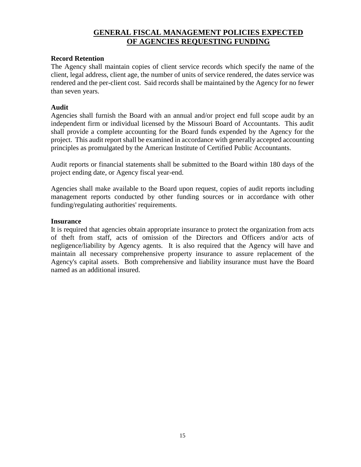## **GENERAL FISCAL MANAGEMENT POLICIES EXPECTED OF AGENCIES REQUESTING FUNDING**

#### **Record Retention**

The Agency shall maintain copies of client service records which specify the name of the client, legal address, client age, the number of units of service rendered, the dates service was rendered and the per-client cost. Said records shall be maintained by the Agency for no fewer than seven years.

#### **Audit**

Agencies shall furnish the Board with an annual and/or project end full scope audit by an independent firm or individual licensed by the Missouri Board of Accountants. This audit shall provide a complete accounting for the Board funds expended by the Agency for the project. This audit report shall be examined in accordance with generally accepted accounting principles as promulgated by the American Institute of Certified Public Accountants.

Audit reports or financial statements shall be submitted to the Board within 180 days of the project ending date, or Agency fiscal year-end.

Agencies shall make available to the Board upon request, copies of audit reports including management reports conducted by other funding sources or in accordance with other funding/regulating authorities' requirements.

#### **Insurance**

It is required that agencies obtain appropriate insurance to protect the organization from acts of theft from staff, acts of omission of the Directors and Officers and/or acts of negligence/liability by Agency agents. It is also required that the Agency will have and maintain all necessary comprehensive property insurance to assure replacement of the Agency's capital assets. Both comprehensive and liability insurance must have the Board named as an additional insured.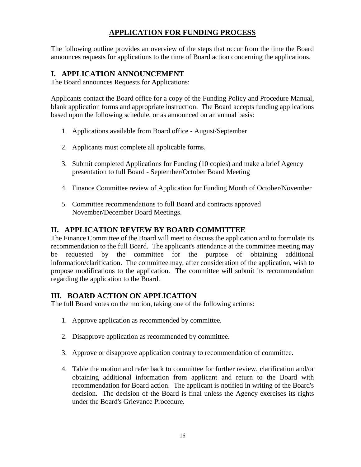# **APPLICATION FOR FUNDING PROCESS**

The following outline provides an overview of the steps that occur from the time the Board announces requests for applications to the time of Board action concerning the applications.

## **I. APPLICATION ANNOUNCEMENT**

The Board announces Requests for Applications:

Applicants contact the Board office for a copy of the Funding Policy and Procedure Manual, blank application forms and appropriate instruction. The Board accepts funding applications based upon the following schedule, or as announced on an annual basis:

- 1. Applications available from Board office August/September
- 2. Applicants must complete all applicable forms.
- 3. Submit completed Applications for Funding (10 copies) and make a brief Agency presentation to full Board - September/October Board Meeting
- 4. Finance Committee review of Application for Funding Month of October/November
- 5. Committee recommendations to full Board and contracts approved November/December Board Meetings.

## **II. APPLICATION REVIEW BY BOARD COMMITTEE**

The Finance Committee of the Board will meet to discuss the application and to formulate its recommendation to the full Board. The applicant's attendance at the committee meeting may be requested by the committee for the purpose of obtaining additional information/clarification. The committee may, after consideration of the application, wish to propose modifications to the application. The committee will submit its recommendation regarding the application to the Board.

## **III. BOARD ACTION ON APPLICATION**

The full Board votes on the motion, taking one of the following actions:

- 1. Approve application as recommended by committee.
- 2. Disapprove application as recommended by committee.
- 3. Approve or disapprove application contrary to recommendation of committee.
- 4. Table the motion and refer back to committee for further review, clarification and/or obtaining additional information from applicant and return to the Board with recommendation for Board action. The applicant is notified in writing of the Board's decision. The decision of the Board is final unless the Agency exercises its rights under the Board's Grievance Procedure.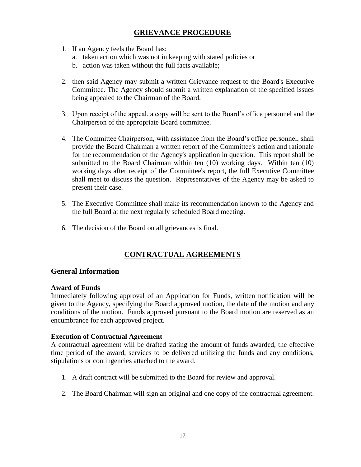# **GRIEVANCE PROCEDURE**

- 1. If an Agency feels the Board has:
	- a. taken action which was not in keeping with stated policies or
	- b. action was taken without the full facts available;
- 2. then said Agency may submit a written Grievance request to the Board's Executive Committee. The Agency should submit a written explanation of the specified issues being appealed to the Chairman of the Board.
- 3. Upon receipt of the appeal, a copy will be sent to the Board's office personnel and the Chairperson of the appropriate Board committee.
- 4. The Committee Chairperson, with assistance from the Board's office personnel, shall provide the Board Chairman a written report of the Committee's action and rationale for the recommendation of the Agency's application in question. This report shall be submitted to the Board Chairman within ten (10) working days. Within ten (10) working days after receipt of the Committee's report, the full Executive Committee shall meet to discuss the question. Representatives of the Agency may be asked to present their case.
- 5. The Executive Committee shall make its recommendation known to the Agency and the full Board at the next regularly scheduled Board meeting.
- 6. The decision of the Board on all grievances is final.

# **CONTRACTUAL AGREEMENTS**

#### **General Information**

#### **Award of Funds**

Immediately following approval of an Application for Funds, written notification will be given to the Agency, specifying the Board approved motion, the date of the motion and any conditions of the motion. Funds approved pursuant to the Board motion are reserved as an encumbrance for each approved project.

#### **Execution of Contractual Agreement**

A contractual agreement will be drafted stating the amount of funds awarded, the effective time period of the award, services to be delivered utilizing the funds and any conditions, stipulations or contingencies attached to the award.

- 1. A draft contract will be submitted to the Board for review and approval.
- 2. The Board Chairman will sign an original and one copy of the contractual agreement.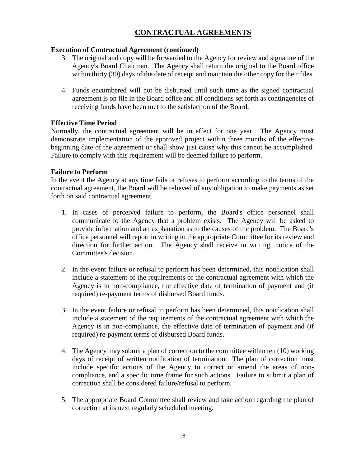# **CONTRACTUAL AGREEMENTS**

## **Execution of Contractual Agreement (continued)**

- 3. The original and copy will be forwarded to the Agency for review and signature of the Agency's Board Chairman. The Agency shall return the original to the Board office within thirty (30) days of the date of receipt and maintain the other copy for their files.
- 4. Funds encumbered will not be disbursed until such time as the signed contractual agreement is on file in the Board office and all conditions set forth as contingencies of receiving funds have been met to the satisfaction of the Board.

## **Effective Time Period**

Normally, the contractual agreement will be in effect for one year. The Agency must demonstrate implementation of the approved project within three months of the effective beginning date of the agreement or shall show just cause why this cannot be accomplished. Failure to comply with this requirement will be deemed failure to perform.

## **Failure to Perform**

In the event the Agency at any time fails or refuses to perform according to the terms of the contractual agreement, the Board will be relieved of any obligation to make payments as set forth on said contractual agreement.

- 1. In cases of perceived failure to perform, the Board's office personnel shall communicate to the Agency that a problem exists. The Agency will be asked to provide information and an explanation as to the causes of the problem. The Board's office personnel will report in writing to the appropriate Committee for its review and direction for further action. The Agency shall receive in writing, notice of the Committee's decision.
- 2. In the event failure or refusal to perform has been determined, this notification shall include a statement of the requirements of the contractual agreement with which the Agency is in non-compliance, the effective date of termination of payment and (if required) re-payment terms of disbursed Board funds.
- 3. In the event failure or refusal to perform has been determined, this notification shall include a statement of the requirements of the contractual agreement with which the Agency is in non-compliance, the effective date of termination of payment and (if required) re-payment terms of disbursed Board funds.
- 4. The Agency may submit a plan of correction to the committee within ten (10) working days of receipt of written notification of termination. The plan of correction must include specific actions of the Agency to correct or amend the areas of noncompliance, and a specific time frame for such actions. Failure to submit a plan of correction shall be considered failure/refusal to perform.
- 5. The appropriate Board Committee shall review and take action regarding the plan of correction at its next regularly scheduled meeting.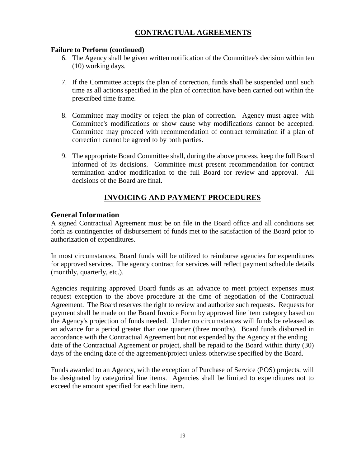# **CONTRACTUAL AGREEMENTS**

#### **Failure to Perform (continued)**

- 6. The Agency shall be given written notification of the Committee's decision within ten (10) working days.
- 7. If the Committee accepts the plan of correction, funds shall be suspended until such time as all actions specified in the plan of correction have been carried out within the prescribed time frame.
- 8. Committee may modify or reject the plan of correction. Agency must agree with Committee's modifications or show cause why modifications cannot be accepted. Committee may proceed with recommendation of contract termination if a plan of correction cannot be agreed to by both parties.
- 9. The appropriate Board Committee shall, during the above process, keep the full Board informed of its decisions. Committee must present recommendation for contract termination and/or modification to the full Board for review and approval. All decisions of the Board are final.

# **INVOICING AND PAYMENT PROCEDURES**

#### **General Information**

A signed Contractual Agreement must be on file in the Board office and all conditions set forth as contingencies of disbursement of funds met to the satisfaction of the Board prior to authorization of expenditures.

In most circumstances, Board funds will be utilized to reimburse agencies for expenditures for approved services. The agency contract for services will reflect payment schedule details (monthly, quarterly, etc.).

Agencies requiring approved Board funds as an advance to meet project expenses must request exception to the above procedure at the time of negotiation of the Contractual Agreement. The Board reserves the right to review and authorize such requests. Requests for payment shall be made on the Board Invoice Form by approved line item category based on the Agency's projection of funds needed. Under no circumstances will funds be released as an advance for a period greater than one quarter (three months). Board funds disbursed in accordance with the Contractual Agreement but not expended by the Agency at the ending date of the Contractual Agreement or project, shall be repaid to the Board within thirty (30) days of the ending date of the agreement/project unless otherwise specified by the Board.

Funds awarded to an Agency, with the exception of Purchase of Service (POS) projects, will be designated by categorical line items. Agencies shall be limited to expenditures not to exceed the amount specified for each line item.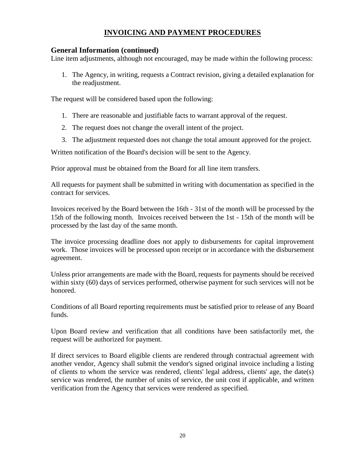# **INVOICING AND PAYMENT PROCEDURES**

## **General Information (continued)**

Line item adjustments, although not encouraged, may be made within the following process:

1. The Agency, in writing, requests a Contract revision, giving a detailed explanation for the readjustment.

The request will be considered based upon the following:

- 1. There are reasonable and justifiable facts to warrant approval of the request.
- 2. The request does not change the overall intent of the project.
- 3. The adjustment requested does not change the total amount approved for the project.

Written notification of the Board's decision will be sent to the Agency.

Prior approval must be obtained from the Board for all line item transfers.

All requests for payment shall be submitted in writing with documentation as specified in the contract for services.

Invoices received by the Board between the 16th - 31st of the month will be processed by the 15th of the following month. Invoices received between the 1st - 15th of the month will be processed by the last day of the same month.

The invoice processing deadline does not apply to disbursements for capital improvement work. Those invoices will be processed upon receipt or in accordance with the disbursement agreement.

Unless prior arrangements are made with the Board, requests for payments should be received within sixty (60) days of services performed, otherwise payment for such services will not be honored.

Conditions of all Board reporting requirements must be satisfied prior to release of any Board funds.

Upon Board review and verification that all conditions have been satisfactorily met, the request will be authorized for payment.

If direct services to Board eligible clients are rendered through contractual agreement with another vendor, Agency shall submit the vendor's signed original invoice including a listing of clients to whom the service was rendered, clients' legal address, clients' age, the date(s) service was rendered, the number of units of service, the unit cost if applicable, and written verification from the Agency that services were rendered as specified.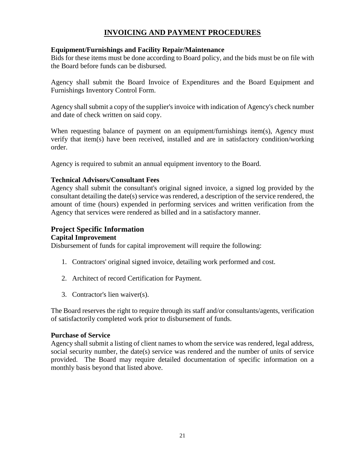# **INVOICING AND PAYMENT PROCEDURES**

#### **Equipment/Furnishings and Facility Repair/Maintenance**

Bids for these items must be done according to Board policy, and the bids must be on file with the Board before funds can be disbursed.

Agency shall submit the Board Invoice of Expenditures and the Board Equipment and Furnishings Inventory Control Form.

Agency shall submit a copy of the supplier's invoice with indication of Agency's check number and date of check written on said copy.

When requesting balance of payment on an equipment/furnishings item(s), Agency must verify that item(s) have been received, installed and are in satisfactory condition/working order.

Agency is required to submit an annual equipment inventory to the Board.

#### **Technical Advisors/Consultant Fees**

Agency shall submit the consultant's original signed invoice, a signed log provided by the consultant detailing the date(s) service was rendered, a description of the service rendered, the amount of time (hours) expended in performing services and written verification from the Agency that services were rendered as billed and in a satisfactory manner.

#### **Project Specific Information**

#### **Capital Improvement**

Disbursement of funds for capital improvement will require the following:

- 1. Contractors' original signed invoice, detailing work performed and cost.
- 2. Architect of record Certification for Payment.
- 3. Contractor's lien waiver(s).

The Board reserves the right to require through its staff and/or consultants/agents, verification of satisfactorily completed work prior to disbursement of funds.

#### **Purchase of Service**

Agency shall submit a listing of client names to whom the service was rendered, legal address, social security number, the date(s) service was rendered and the number of units of service provided. The Board may require detailed documentation of specific information on a monthly basis beyond that listed above.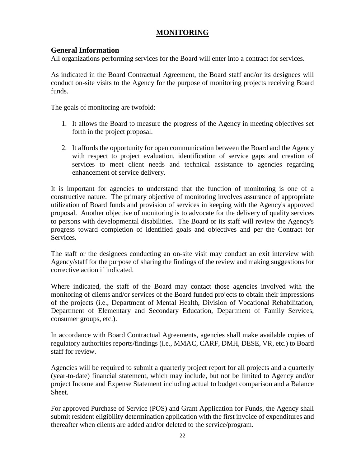# **MONITORING**

## **General Information**

All organizations performing services for the Board will enter into a contract for services.

As indicated in the Board Contractual Agreement, the Board staff and/or its designees will conduct on-site visits to the Agency for the purpose of monitoring projects receiving Board funds.

The goals of monitoring are twofold:

- 1. It allows the Board to measure the progress of the Agency in meeting objectives set forth in the project proposal.
- 2. It affords the opportunity for open communication between the Board and the Agency with respect to project evaluation, identification of service gaps and creation of services to meet client needs and technical assistance to agencies regarding enhancement of service delivery.

It is important for agencies to understand that the function of monitoring is one of a constructive nature. The primary objective of monitoring involves assurance of appropriate utilization of Board funds and provision of services in keeping with the Agency's approved proposal. Another objective of monitoring is to advocate for the delivery of quality services to persons with developmental disabilities. The Board or its staff will review the Agency's progress toward completion of identified goals and objectives and per the Contract for **Services** 

The staff or the designees conducting an on-site visit may conduct an exit interview with Agency/staff for the purpose of sharing the findings of the review and making suggestions for corrective action if indicated.

Where indicated, the staff of the Board may contact those agencies involved with the monitoring of clients and/or services of the Board funded projects to obtain their impressions of the projects (i.e., Department of Mental Health, Division of Vocational Rehabilitation, Department of Elementary and Secondary Education, Department of Family Services, consumer groups, etc.).

In accordance with Board Contractual Agreements, agencies shall make available copies of regulatory authorities reports/findings (i.e., MMAC, CARF, DMH, DESE, VR, etc.) to Board staff for review.

Agencies will be required to submit a quarterly project report for all projects and a quarterly (year-to-date) financial statement, which may include, but not be limited to Agency and/or project Income and Expense Statement including actual to budget comparison and a Balance Sheet.

For approved Purchase of Service (POS) and Grant Application for Funds, the Agency shall submit resident eligibility determination application with the first invoice of expenditures and thereafter when clients are added and/or deleted to the service/program.